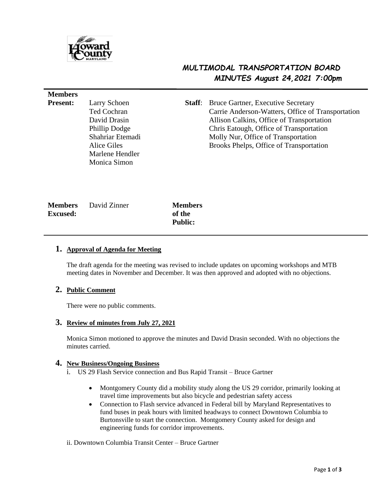

**Members** 

# *MULTIMODAL TRANSPORTATION BOARD MINUTES August 24,2021 7:00pm*

| пісшосі э       |                  |        |                                                   |
|-----------------|------------------|--------|---------------------------------------------------|
| <b>Present:</b> | Larry Schoen     | Staff: | <b>Bruce Gartner, Executive Secretary</b>         |
|                 | Ted Cochran      |        | Carrie Anderson-Watters, Office of Transportation |
|                 | David Drasin     |        | Allison Calkins, Office of Transportation         |
|                 | Phillip Dodge    |        | Chris Eatough, Office of Transportation           |
|                 | Shahriar Etemadi |        | Molly Nur, Office of Transportation               |
|                 | Alice Giles      |        | Brooks Phelps, Office of Transportation           |
|                 | Marlene Hendler  |        |                                                   |
|                 | Monica Simon     |        |                                                   |
|                 |                  |        |                                                   |
|                 |                  |        |                                                   |
|                 |                  |        |                                                   |

|                 | <b>Members</b> David Zinner | <b>Members</b> |
|-----------------|-----------------------------|----------------|
| <b>Excused:</b> |                             | of the         |
|                 |                             | <b>Public:</b> |

## **1. Approval of Agenda for Meeting**

The draft agenda for the meeting was revised to include updates on upcoming workshops and MTB meeting dates in November and December. It was then approved and adopted with no objections.

## **2. Public Comment**

There were no public comments.

## **3. Review of minutes from July 27, 2021**

Monica Simon motioned to approve the minutes and David Drasin seconded. With no objections the minutes carried.

# **4. New Business/Ongoing Business**

- i. US 29 Flash Service connection and Bus Rapid Transit Bruce Gartner
	- Montgomery County did a mobility study along the US 29 corridor, primarily looking at travel time improvements but also bicycle and pedestrian safety access
	- Connection to Flash service advanced in Federal bill by Maryland Representatives to fund buses in peak hours with limited headways to connect Downtown Columbia to Burtonsville to start the connection. Montgomery County asked for design and engineering funds for corridor improvements.
- ii. Downtown Columbia Transit Center Bruce Gartner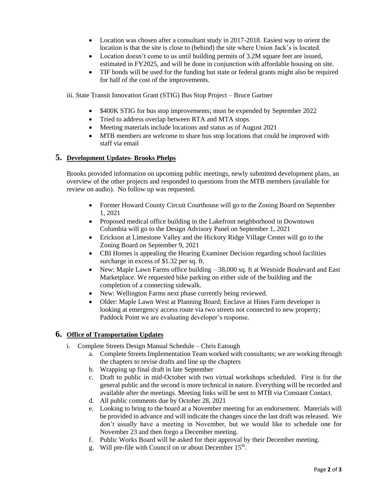- Location was chosen after a consultant study in 2017-2018. Easiest way to orient the location is that the site is close to (behind) the site where Union Jack's is located.
- Location doesn't come to us until building permits of 3.2M square feet are issued, estimated in FY2025, and will be done in conjunction with affordable housing on site.
- TIF bonds will be used for the funding but state or federal grants might also be required for half of the cost of the improvements.

iii. State Transit Innovation Grant (STIG) Bus Stop Project – Bruce Gartner

- \$400K STIG for bus stop improvements; must be expended by September 2022
- Tried to address overlap between RTA and MTA stops
- Meeting materials include locations and status as of August 2021
- MTB members are welcome to share bus stop locations that could be improved with staff via email

## **5. Development Updates- Brooks Phelps**

Brooks provided information on upcoming public meetings, newly submitted development plans, an overview of the other projects and responded to questions from the MTB members (available for review on audio). No follow up was requested.

- Former Howard County Circuit Courthouse will go to the Zoning Board on September 1, 2021
- Proposed medical office building in the Lakefront neighborhood in Downtown Columbia will go to the Design Advisory Panel on September 1, 2021
- Erickson at Limestone Valley and the Hickory Ridge Village Center will go to the Zoning Board on September 9, 2021
- CBI Homes is appealing the Hearing Examiner Decision regarding school facilities surcharge in excess of \$1.32 per sq. ft.
- New: Maple Lawn Farms office building 38,000 sq. ft at Westside Boulevard and East Marketplace. We requested bike parking on either side of the building and the completion of a connecting sidewalk.
- New: Wellington Farms next phase currently being reviewed.
- Older: Maple Lawn West at Planning Board; Enclave at Hines Farm developer is looking at emergency access route via two streets not connected to new property; Paddock Point we are evaluating developer's response.

# **6. Office of Transportation Updates**

- i. Complete Streets Design Manual Schedule Chris Eatough
	- a. Complete Streets Implementation Team worked with consultants; we are working through the chapters to revise drafts and line up the chapters
	- b. Wrapping up final draft in late September
	- c. Draft to public in mid-October with two virtual workshops scheduled. First is for the general public and the second is more technical in nature. Everything will be recorded and available after the meetings. Meeting links will be sent to MTB via Constant Contact.
	- d. All public comments due by October 28, 2021
	- e. Looking to bring to the board at a November meeting for an endorsement. Materials will be provided in advance and will indicate the changes since the last draft was released. We don't usually have a meeting in November, but we would like to schedule one for November 23 and then forgo a December meeting.
	- f. Public Works Board will be asked for their approval by their December meeting.
	- g. Will pre-file with Council on or about December 15<sup>th</sup>.